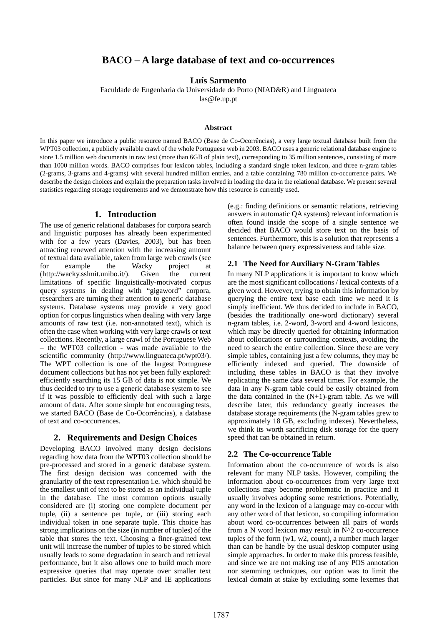# **BACO – A large database of text and co-occurrences**

### **Luís Sarmento**

Faculdade de Engenharia da Universidade do Porto (NIAD&R) and Linguateca

las@fe.up.pt

#### **Abstract**

In this paper we introduce a public resource named BACO (Base de Co-Ocorrências), a very large textual database built from the WPT03 collection, a publicly available crawl of the whole Portuguese web in 2003. BACO uses a generic relational database engine to store 1.5 million web documents in raw text (more than 6GB of plain text), corresponding to 35 million sentences, consisting of more than 1000 million words. BACO comprises four lexicon tables, including a standard single token lexicon, and three n-gram tables (2-grams, 3-grams and 4-grams) with several hundred million entries, and a table containing 780 million co-occurrence pairs. We describe the design choices and explain the preparation tasks involved in loading the data in the relational database. We present several statistics regarding storage requirements and we demonstrate how this resource is currently used.

### **1. Introduction**

The use of generic relational databases for corpora search and linguistic purposes has already been experimented with for a few years (Davies, 2003), but has been attracting renewed attention with the increasing amount of textual data available, taken from large web crawls (see for example the Wacky project at [\(http://wacky.sslmit.unibo.it/](http://wacky.sslmit.unibo.it/)). Given the current limitations of specific linguistically-motivated corpus query systems in dealing with "gigaword" corpora, researchers are turning their attention to generic database systems. Database systems may provide a very good option for corpus linguistics when dealing with very large amounts of raw text (i.e. non-annotated text), which is often the case when working with very large crawls or text collections. Recently, a large crawl of the Portuguese Web – the WPT03 collection - was made available to the scientific community (http://www.linguateca.pt/wpt03/). The WPT collection is one of the largest Portuguese document collections but has not yet been fully explored: efficiently searching its 15 GB of data is not simple. We thus decided to try to use a generic database system to see if it was possible to efficiently deal with such a large amount of data. After some simple but encouraging tests, we started BACO (Base de Co-Ocorrências), a database of text and co-occurrences.

## **2. Requirements and Design Choices**

Developing BACO involved many design decisions regarding how data from the WPT03 collection should be pre-processed and stored in a generic database system. The first design decision was concerned with the granularity of the text representation i.e. which should be the smallest unit of text to be stored as an individual tuple in the database. The most common options usually considered are (i) storing one complete document per tuple, (ii) a sentence per tuple, or (iii) storing each individual token in one separate tuple. This choice has strong implications on the size (in number of tuples) of the table that stores the text. Choosing a finer-grained text unit will increase the number of tuples to be stored which usually leads to some degradation in search and retrieval performance, but it also allows one to build much more expressive queries that may operate over smaller text particles. But since for many NLP and IE applications

(e.g.: finding definitions or semantic relations, retrieving answers in automatic QA systems) relevant information is often found inside the scope of a single sentence we decided that BACO would store text on the basis of sentences. Furthermore, this is a solution that represents a balance between query expressiveness and table size.

### **2.1 The Need for Auxiliary N-Gram Tables**

In many NLP applications it is important to know which are the most significant collocations / lexical contexts of a given word. However, trying to obtain this information by querying the entire text base each time we need it is simply inefficient. We thus decided to include in BACO, (besides the traditionally one-word dictionary) several n-gram tables, i.e. 2-word, 3-word and 4-word lexicons, which may be directly queried for obtaining information about collocations or surrounding contexts, avoiding the need to search the entire collection. Since these are very simple tables, containing just a few columns, they may be efficiently indexed and queried. The downside of including these tables in BACO is that they involve replicating the same data several times. For example, the data in any N-gram table could be easily obtained from the data contained in the  $(N+1)$ -gram table. As we will describe later, this redundancy greatly increases the database storage requirements (the N-gram tables grew to approximately 18 GB, excluding indexes). Nevertheless, we think its worth sacrificing disk storage for the query speed that can be obtained in return.

### **2.2 The Co-occurrence Table**

Information about the co-occurrence of words is also relevant for many NLP tasks. However, compiling the information about co-occurrences from very large text collections may become problematic in practice and it usually involves adopting some restrictions. Potentially, any word in the lexicon of a language may co-occur with any other word of that lexicon, so compiling information about word co-occurrences between all pairs of words from a N word lexicon may result in N^2 co-occurrence tuples of the form (w1, w2, count), a number much larger than can be handle by the usual desktop computer using simple approaches. In order to make this process feasible, and since we are not making use of any POS annotation nor stemming techniques, our option was to limit the lexical domain at stake by excluding some lexemes that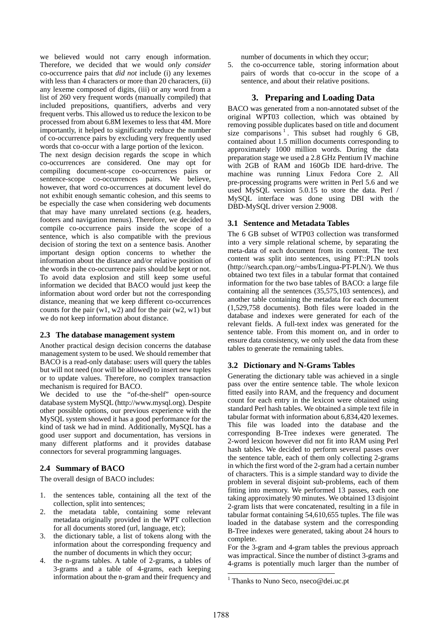we believed would not carry enough information. Therefore, we decided that we would *only consider* co-occurrence pairs that *did not* include (i) any lexemes with less than 4 characters or more than 20 characters, (ii) any lexeme composed of digits, (iii) or any word from a list of 260 very frequent words (manually compiled) that included prepositions, quantifiers, adverbs and very frequent verbs. This allowed us to reduce the lexicon to be processed from about 6.8M lexemes to less that 4M. More importantly, it helped to significantly reduce the number of co-occurrence pairs by excluding very frequently used words that co-occur with a large portion of the lexicon.

The next design decision regards the scope in which co-occurrences are considered. One may opt for compiling document-scope co-occurrences pairs or sentence-scope co-occurrences pairs. We believe, however, that word co-occurrences at document level do not exhibit enough semantic cohesion, and this seems to be especially the case when considering web documents that may have many unrelated sections (e.g. headers, footers and navigation menus). Therefore, we decided to compile co-occurrence pairs inside the scope of a sentence, which is also compatible with the previous decision of storing the text on a sentence basis. Another important design option concerns to whether the information about the distance and/or relative position of the words in the co-occurrence pairs should be kept or not. To avoid data explosion and still keep some useful information we decided that BACO would just keep the information about word order but not the corresponding distance, meaning that we keep different co-occurrences counts for the pair  $(w1, w2)$  and for the pair  $(w2, w1)$  but we do not keep information about distance.

#### **2.3 The database management system**

Another practical design decision concerns the database management system to be used. We should remember that BACO is a read-only database: users will query the tables but will not need (nor will be allowed) to insert new tuples or to update values. Therefore, no complex transaction mechanism is required for BACO.

We decided to use the "of-the-shelf" open-source database system MySQL [\(http://www.mysql.org\)](http://www.mysql.org/). Despite other possible options, our previous experience with the MySQL system showed it has a good performance for the kind of task we had in mind. Additionally, MySQL has a good user support and documentation, has versions in many different platforms and it provides database connectors for several programming languages.

#### **2.4 Summary of BACO**

The overall design of BACO includes:

- 1. the sentences table, containing all the text of the collection, split into sentences;
- 2. the metadata table, containing some relevant metadata originally provided in the WPT collection for all documents stored (url, language, etc);
- 3. the dictionary table, a list of tokens along with the information about the corresponding frequency and the number of documents in which they occur;
- 4. the n-grams tables. A table of 2-grams, a tables of 3-grams and a table of 4-grams, each keeping information about the n-gram and their frequency and

number of documents in which they occur;

5. the co-occurrence table, storing information about pairs of words that co-occur in the scope of a sentence, and about their relative positions.

### **3. Preparing and Loading Data**

BACO was generated from a non-annotated subset of the original WPT03 collection, which was obtained by removing possible duplicates based on title and document size comparisons  $<sup>1</sup>$ [.](#page-1-0) This subset had roughly 6 GB,</sup> contained about 1.5 million documents corresponding to approximately 1000 million words. During the data preparation stage we used a 2.8 GHz Pentium IV machine with 2GB of RAM and 160Gb IDE hard-drive. The machine was running Linux Fedora Core 2. All pre-processing programs were written in Perl 5.6 and we used MySQL version 5.0.15 to store the data. Perl / MySQL interface was done using DBI with the DBD-MySQL driver version 2.9008.

### **3.1 Sentence and Metadata Tables**

The 6 GB subset of WTP03 collection was transformed into a very simple relational scheme, by separating the meta-data of each document from its content. The text content was split into sentences, using PT::PLN tools ([http://search.cpan.org/~ambs/Lingua-PT-PLN/\)](http://search.cpan.org/~ambs/Lingua-PT-PLN/). We thus obtained two text files in a tabular format that contained information for the two base tables of BACO: a large file containing all the sentences (35,575,103 sentences), and another table containing the metadata for each document (1,529,758 documents). Both files were loaded in the database and indexes were generated for each of the relevant fields. A full-text index was generated for the sentence table. From this moment on, and in order to ensure data consistency, we only used the data from these tables to generate the remaining tables.

#### **3.2 Dictionary and N-Grams Tables**

Generating the dictionary table was achieved in a single pass over the entire sentence table. The whole lexicon fitted easily into RAM, and the frequency and document count for each entry in the lexicon were obtained using standard Perl hash tables. We obtained a simple text file in tabular format with information about 6,834,420 lexemes. This file was loaded into the database and the corresponding B-Tree indexes were generated. The 2-word lexicon however did not fit into RAM using Perl hash tables. We decided to perform several passes over the sentence table, each of them only collecting 2-grams in which the first word of the 2-gram had a certain number of characters. This is a simple standard way to divide the problem in several disjoint sub-problems, each of them fitting into memory. We performed 13 passes, each one taking approximately 90 minutes. We obtained 13 disjoint 2-gram lists that were concatenated, resulting in a file in tabular format containing 54,610,655 tuples. The file was loaded in the database system and the corresponding B-Tree indexes were generated, taking about 24 hours to complete.

For the 3-gram and 4-gram tables the previous approach was impractical. Since the number of distinct 3-grams and 4-grams is potentially much larger than the number of

l

<span id="page-1-0"></span><sup>&</sup>lt;sup>1</sup> Thanks to Nuno Seco, nseco@dei.uc.pt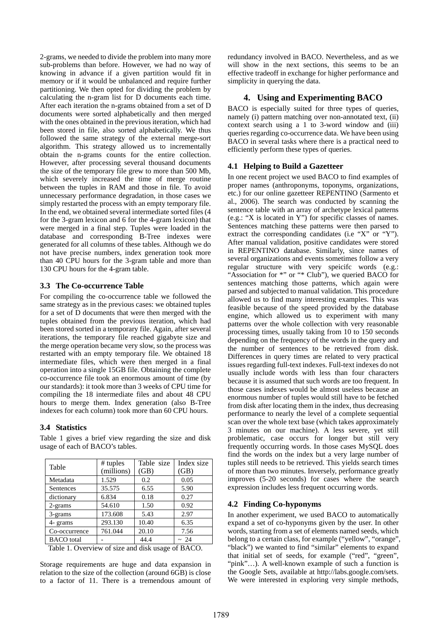2-grams, we needed to divide the problem into many more sub-problems than before. However, we had no way of knowing in advance if a given partition would fit in memory or if it would be unbalanced and require further partitioning. We then opted for dividing the problem by calculating the n-gram list for D documents each time. After each iteration the n-grams obtained from a set of D documents were sorted alphabetically and then merged with the ones obtained in the previous iteration, which had been stored in file, also sorted alphabetically. We thus followed the same strategy of the external merge-sort algorithm. This strategy allowed us to incrementally obtain the n-grams counts for the entire collection. However, after processing several thousand documents the size of the temporary file grew to more than 500 Mb, which severely increased the time of merge routine between the tuples in RAM and those in file. To avoid unnecessary performance degradation, in those cases we simply restarted the process with an empty temporary file. In the end, we obtained several intermediate sorted files (4 for the 3-gram lexicon and 6 for the 4-gram lexicon) that were merged in a final step. Tuples were loaded in the database and corresponding B-Tree indexes were generated for all columns of these tables. Although we do not have precise numbers, index generation took more than 40 CPU hours for the 3-gram table and more than 130 CPU hours for the 4-gram table.

## **3.3 The Co-occurrence Table**

For compiling the co-occurrence table we followed the same strategy as in the previous cases: we obtained tuples for a set of D documents that were then merged with the tuples obtained from the previous iteration, which had been stored sorted in a temporary file. Again, after several iterations, the temporary file reached gigabyte size and the merge operation became very slow, so the process was restarted with an empty temporary file. We obtained 18 intermediate files, which were then merged in a final operation into a single 15GB file. Obtaining the complete co-occurrence file took an enormous amount of time (by our standards): it took more than 3 weeks of CPU time for compiling the 18 intermediate files and about 48 CPU hours to merge them. Index generation (also B-Tree indexes for each column) took more than 60 CPU hours.

## **3.4 Statistics**

| Table             | $#$ tuples<br>(millions) | Table size<br>(GB) | Index size<br>(GB) |
|-------------------|--------------------------|--------------------|--------------------|
| Metadata          | 1.529                    | 0.2                | 0.05               |
| Sentences         | 35.575                   | 6.55               | 5.90               |
| dictionary        | 6.834                    | 0.18               | 0.27               |
| 2-grams           | 54.610                   | 1.50               | 0.92               |
| 3-grams           | 173.608                  | 5.43               | 2.97               |
| 4- grams          | 293.130                  | 10.40              | 6.35               |
| Co-occurrence     | 761.044                  | 20.10              | 7.56               |
| <b>BACO</b> total |                          | 44.4               | $~\sim~24$         |

Table 1 gives a brief view regarding the size and disk usage of each of BACO's tables.

Table 1. Overview of size and disk usage of BACO.

Storage requirements are huge and data expansion in relation to the size of the collection (around 6GB) is close to a factor of 11. There is a tremendous amount of redundancy involved in BACO. Nevertheless, and as we will show in the next sections, this seems to be an effective tradeoff in exchange for higher performance and simplicity in querying the data.

## **4. Using and Experimenting BACO**

BACO is especially suited for three types of queries, namely (i) pattern matching over non-annotated text, (ii) context search using a 1 to 3-word window and (iii) queries regarding co-occurrence data. We have been using BACO in several tasks where there is a practical need to efficiently perform these types of queries.

### **4.1 Helping to Build a Gazetteer**

In one recent project we used BACO to find examples of proper names (anthroponyms, toponyms, organizations, etc.) for our online gazetteer REPENTINO (Sarmento et al., 2006). The search was conducted by scanning the sentence table with an array of archetype lexical patterns (e.g.: "X is located in Y") for specific classes of names. Sentences matching these patterns were then parsed to extract the corresponding candidates (i.e "X" or "Y"). After manual validation, positive candidates were stored in REPENTINO database. Similarly, since names of several organizations and events sometimes follow a very regular structure with very speicifc words (e.g.: "Association for \*" or "\* Club"), we queried BACO for sentences matching those patterns, which again were parsed and subjected to manual validation. This procedure allowed us to find many interesting examples. This was feasible because of the speed provided by the database engine, which allowed us to experiment with many patterns over the whole collection with very reasonable processing times, usually taking from 10 to 150 seconds depending on the frequency of the words in the query and the number of sentences to be retrieved from disk. Differences in query times are related to very practical issues regarding full-text indexes. Full-text indexes do not usually include words with less than four characters because it is assumed that such words are too frequent. In those cases indexes would be almost useless because an enormous number of tuples would still have to be fetched from disk after locating them in the index, thus decreasing performance to nearly the level of a complete sequential scan over the whole text base (which takes approximately 3 minutes on our machine). A less severe, yet still problematic, case occurs for longer but still very frequently occurring words. In those cases MySQL does find the words on the index but a very large number of tuples still needs to be retrieved. This yields search times of more than two minutes. Inversely, performance greatly improves (5-20 seconds) for cases where the search expression includes less frequent occurring words.

### **4.2 Finding Co-hyponyms**

In another experiment, we used BACO to automatically expand a set of co-hyponyms given by the user. In other words, starting from a set of elements named seeds, which belong to a certain class, for example ("yellow", "orange", "black") we wanted to find "similar" elements to expand that initial set of seeds, for example ("red", "green", "pink"…). A well-known example of such a function is the Google Sets, available at [http://labs.google.com/sets.](http://labs.google.com/sets) We were interested in exploring very simple methods,